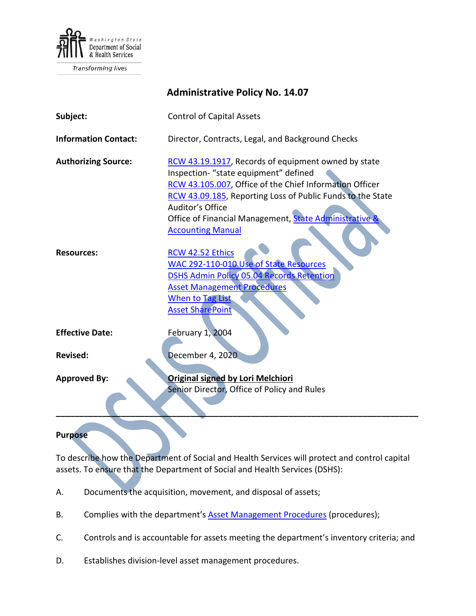

Transforming lives

|                             | <b>Administrative Policy No. 14.07</b>                                                                                                                                                                                                                                                                                          |
|-----------------------------|---------------------------------------------------------------------------------------------------------------------------------------------------------------------------------------------------------------------------------------------------------------------------------------------------------------------------------|
| Subject:                    | <b>Control of Capital Assets</b>                                                                                                                                                                                                                                                                                                |
| <b>Information Contact:</b> | Director, Contracts, Legal, and Background Checks                                                                                                                                                                                                                                                                               |
| <b>Authorizing Source:</b>  | RCW 43.19.1917, Records of equipment owned by state<br>Inspection- "state equipment" defined<br>RCW 43.105.007, Office of the Chief Information Officer<br>RCW 43.09.185, Reporting Loss of Public Funds to the State<br>Auditor's Office<br>Office of Financial Management, State Administrative &<br><b>Accounting Manual</b> |
| <b>Resources:</b>           | RCW 42.52 Ethics<br>WAC 292-110-010 Use of State Resources<br><b>DSHS Admin Policy 05.04 Records Retention</b><br><b>Asset Management Procedures</b><br><b>When to Tag List</b><br><b>Asset SharePoint</b>                                                                                                                      |
| <b>Effective Date:</b>      | February 1, 2004                                                                                                                                                                                                                                                                                                                |
| <b>Revised:</b>             | December 4, 2020                                                                                                                                                                                                                                                                                                                |
| <b>Approved By:</b>         | <b>Original signed by Lori Melchiori</b><br>Senior Director, Office of Policy and Rules                                                                                                                                                                                                                                         |
|                             |                                                                                                                                                                                                                                                                                                                                 |

#### **Purpose**

To describe how the Department of Social and Health Services will protect and control capital assets. To ensure that the Department of Social and Health Services (DSHS):

- A. Documents the acquisition, movement, and disposal of assets;
- B. Complies with the department's **Asset Management Procedures** (procedures);
- C. Controls and is accountable for assets meeting the department's inventory criteria; and
- D. Establishes division-level asset management procedures.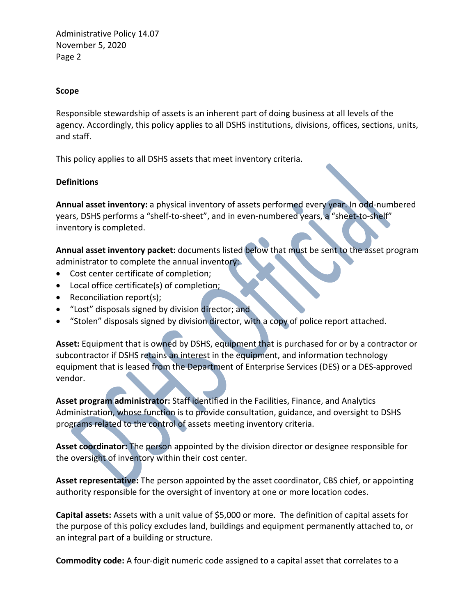#### **Scope**

Responsible stewardship of assets is an inherent part of doing business at all levels of the agency. Accordingly, this policy applies to all DSHS institutions, divisions, offices, sections, units, and staff.

This policy applies to all DSHS assets that meet inventory criteria.

#### **Definitions**

**Annual asset inventory:** a physical inventory of assets performed every year. In odd-numbered years, DSHS performs a "shelf-to-sheet", and in even-numbered years, a "sheet-to-shelf" inventory is completed.

**Annual asset inventory packet:** documents listed below that must be sent to the asset program administrator to complete the annual inventory:

- Cost center certificate of completion;
- Local office certificate(s) of completion;
- Reconciliation report(s);
- "Lost" disposals signed by division director; and
- "Stolen" disposals signed by division director, with a copy of police report attached.

**Asset:** Equipment that is owned by DSHS, equipment that is purchased for or by a contractor or subcontractor if DSHS retains an interest in the equipment, and information technology equipment that is leased from the Department of Enterprise Services (DES) or a DES-approved vendor.

**Asset program administrator:** Staff identified in the Facilities, Finance, and Analytics Administration, whose function is to provide consultation, guidance, and oversight to DSHS programs related to the control of assets meeting inventory criteria.

**Asset coordinator:** The person appointed by the division director or designee responsible for the oversight of inventory within their cost center.

**Asset representative:** The person appointed by the asset coordinator, CBS chief, or appointing authority responsible for the oversight of inventory at one or more location codes.

**Capital assets:** Assets with a unit value of \$5,000 or more. The definition of capital assets for the purpose of this policy excludes land, buildings and equipment permanently attached to, or an integral part of a building or structure.

**Commodity code:** A four-digit numeric code assigned to a capital asset that correlates to a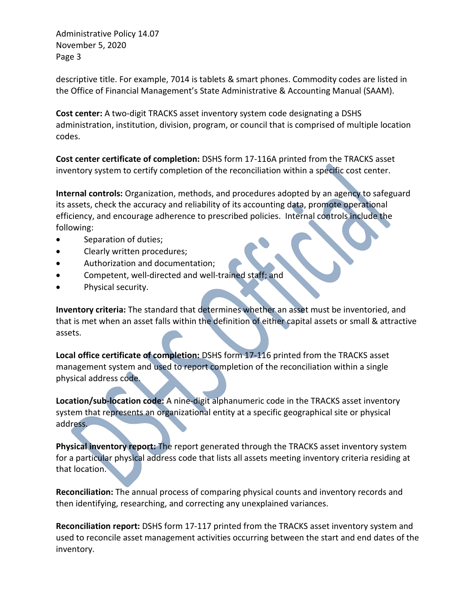descriptive title. For example, 7014 is tablets & smart phones. Commodity codes are listed in the Office of Financial Management's State Administrative & Accounting Manual (SAAM).

**Cost center:** A two-digit TRACKS asset inventory system code designating a DSHS administration, institution, division, program, or council that is comprised of multiple location codes.

**Cost center certificate of completion:** DSHS form 17-116A printed from the TRACKS asset inventory system to certify completion of the reconciliation within a specific cost center.

**Internal controls:** Organization, methods, and procedures adopted by an agency to safeguard its assets, check the accuracy and reliability of its accounting data, promote operational efficiency, and encourage adherence to prescribed policies. Internal controls include the following:

- Separation of duties;
- Clearly written procedures;
- Authorization and documentation;
- Competent, well-directed and well-trained staff; and
- Physical security.

**Inventory criteria:** The standard that determines whether an asset must be inventoried, and that is met when an asset falls within the definition of either capital assets or small & attractive assets.

**Local office certificate of completion:** DSHS form 17-116 printed from the TRACKS asset management system and used to report completion of the reconciliation within a single physical address code.

**Location/sub-location code:** A nine-digit alphanumeric code in the TRACKS asset inventory system that represents an organizational entity at a specific geographical site or physical address.

**Physical inventory report:** The report generated through the TRACKS asset inventory system for a particular physical address code that lists all assets meeting inventory criteria residing at that location.

**Reconciliation:** The annual process of comparing physical counts and inventory records and then identifying, researching, and correcting any unexplained variances.

**Reconciliation report:** DSHS form 17-117 printed from the TRACKS asset inventory system and used to reconcile asset management activities occurring between the start and end dates of the inventory.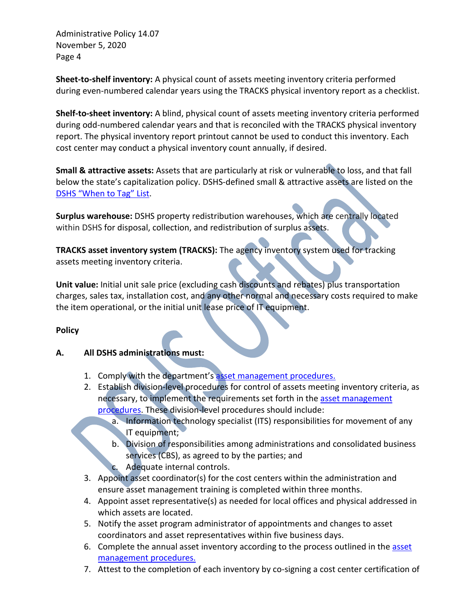**Sheet-to-shelf inventory:** A physical count of assets meeting inventory criteria performed during even-numbered calendar years using the TRACKS physical inventory report as a checklist.

**Shelf-to-sheet inventory:** A blind, physical count of assets meeting inventory criteria performed during odd-numbered calendar years and that is reconciled with the TRACKS physical inventory report. The physical inventory report printout cannot be used to conduct this inventory. Each cost center may conduct a physical inventory count annually, if desired.

**Small & attractive assets:** Assets that are particularly at risk or vulnerable to loss, and that fall below the state's capitalization policy. DSHS-defined small & attractive assets are listed on the [DSHS "When to Tag" List.](http://one.dshs.wa.lcl/FS/OSS/CPU/Documents/When_to_Tag_List.docx)

**Surplus warehouse:** DSHS property redistribution warehouses, which are centrally located within DSHS for disposal, collection, and redistribution of surplus assets.

**TRACKS asset inventory system (TRACKS):** The agency inventory system used for tracking assets meeting inventory criteria.

**Unit value:** Initial unit sale price (excluding cash discounts and rebates) plus transportation charges, sales tax, installation cost, and any other normal and necessary costs required to make the item operational, or the initial unit lease price of IT equipment.

## **Policy**

## **A. All DSHS administrations must:**

- 1. Comply with the department'[s asset management procedures.](http://one.dshs.wa.lcl/FS/OSS/CPU/AssetManagement/Guidelines/Pages/default.aspx)
- 2. Establish division-level procedures for control of assets meeting inventory criteria, as necessary, to implement the requirements set forth in the asset management [procedures.](http://one.dshs.wa.lcl/FS/OSS/CPU/AssetManagement/Guidelines/Pages/default.aspx) These division-level procedures should include:
	- a. Information technology specialist (ITS) responsibilities for movement of any IT equipment;
	- b. Division of responsibilities among administrations and consolidated business services (CBS), as agreed to by the parties; and
	- c. Adequate internal controls.
- 3. Appoint asset coordinator(s) for the cost centers within the administration and ensure asset management training is completed within three months.
- 4. Appoint asset representative(s) as needed for local offices and physical addressed in which assets are located.
- 5. Notify the asset program administrator of appointments and changes to asset coordinators and asset representatives within five business days.
- 6. Complete the annual asset inventory according to the process outlined in the asset [management procedures.](http://one.dshs.wa.lcl/FS/OSS/CPU/AssetManagement/Guidelines/Pages/default.aspx)
- 7. Attest to the completion of each inventory by co-signing a cost center certification of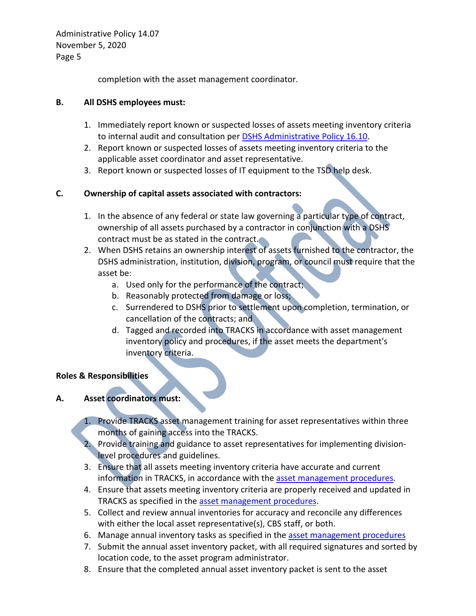completion with the asset management coordinator.

#### **B. All DSHS employees must:**

- 1. Immediately report known or suspected losses of assets meeting inventory criteria to internal audit and consultation per **DSHS Administrative Policy 16.10.**
- 2. Report known or suspected losses of assets meeting inventory criteria to the applicable asset coordinator and asset representative.
- 3. Report known or suspected losses of IT equipment to the TSD help desk.

## **C. Ownership of capital assets associated with contractors:**

- 1. In the absence of any federal or state law governing a particular type of contract, ownership of all assets purchased by a contractor in conjunction with a DSHS contract must be as stated in the contract.
- 2. When DSHS retains an ownership interest of assets furnished to the contractor, the DSHS administration, institution, division, program, or council must require that the asset be:
	- a. Used only for the performance of the contract;
	- b. Reasonably protected from damage or loss;
	- c. Surrendered to DSHS prior to settlement upon completion, termination, or cancellation of the contracts; and
	- d. Tagged and recorded into TRACKS in accordance with asset management inventory policy and procedures, if the asset meets the department's inventory criteria.

## **Roles & Responsibilities**

## **A. Asset coordinators must:**

1. Provide TRACKS asset management training for asset representatives within three months of gaining access into the TRACKS.

2. Provide training and guidance to asset representatives for implementing divisionlevel procedures and guidelines.

- 3. Ensure that all assets meeting inventory criteria have accurate and current information in TRACKS, in accordance with the [asset management procedures.](http://one.dshs.wa.lcl/FS/OSS/CPU/AssetManagement/Guidelines/Pages/default.aspx)
- 4. Ensure that assets meeting inventory criteria are properly received and updated in TRACKS as specified in the [asset management procedures.](http://one.dshs.wa.lcl/FS/OSS/CPU/AssetManagement/Guidelines/Pages/default.aspx)
- 5. Collect and review annual inventories for accuracy and reconcile any differences with either the local asset representative(s), CBS staff, or both.
- 6. Manage annual inventory tasks as specified in the [asset management procedures](http://one.dshs.wa.lcl/FS/OSS/CPU/AssetManagement/Guidelines/Pages/default.aspx)
- 7. Submit the annual asset inventory packet, with all required signatures and sorted by location code, to the asset program administrator.
- 8. Ensure that the completed annual asset inventory packet is sent to the asset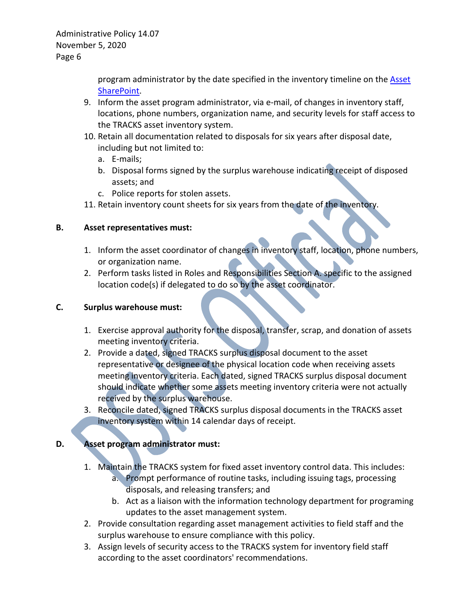> program administrator by the date specified in the inventory timeline on the [Asset](http://one.dshs.wa.lcl/FS/OSS/CPU/AssetManagement/Pages/default.aspx)  [SharePoint.](http://one.dshs.wa.lcl/FS/OSS/CPU/AssetManagement/Pages/default.aspx)

- 9. Inform the asset program administrator, via e-mail, of changes in inventory staff, locations, phone numbers, organization name, and security levels for staff access to the TRACKS asset inventory system.
- 10. Retain all documentation related to disposals for six years after disposal date, including but not limited to:
	- a. E-mails;
	- b. Disposal forms signed by the surplus warehouse indicating receipt of disposed assets; and
	- c. Police reports for stolen assets.
- 11. Retain inventory count sheets for six years from the date of the inventory.

## **B. Asset representatives must:**

- 1. Inform the asset coordinator of changes in inventory staff, location, phone numbers, or organization name.
- 2. Perform tasks listed in Roles and Responsibilities Section A. specific to the assigned location code(s) if delegated to do so by the asset coordinator.

## **C. Surplus warehouse must:**

- 1. Exercise approval authority for the disposal, transfer, scrap, and donation of assets meeting inventory criteria.
- 2. Provide a dated, signed TRACKS surplus disposal document to the asset representative or designee of the physical location code when receiving assets meeting inventory criteria. Each dated, signed TRACKS surplus disposal document should indicate whether some assets meeting inventory criteria were not actually received by the surplus warehouse.
- 3. Reconcile dated, signed TRACKS surplus disposal documents in the TRACKS asset inventory system within 14 calendar days of receipt.

# **D. Asset program administrator must:**

- 1. Maintain the TRACKS system for fixed asset inventory control data. This includes:
	- a. Prompt performance of routine tasks, including issuing tags, processing disposals, and releasing transfers; and
	- b. Act as a liaison with the information technology department for programing updates to the asset management system.
- 2. Provide consultation regarding asset management activities to field staff and the surplus warehouse to ensure compliance with this policy.
- 3. Assign levels of security access to the TRACKS system for inventory field staff according to the asset coordinators' recommendations.